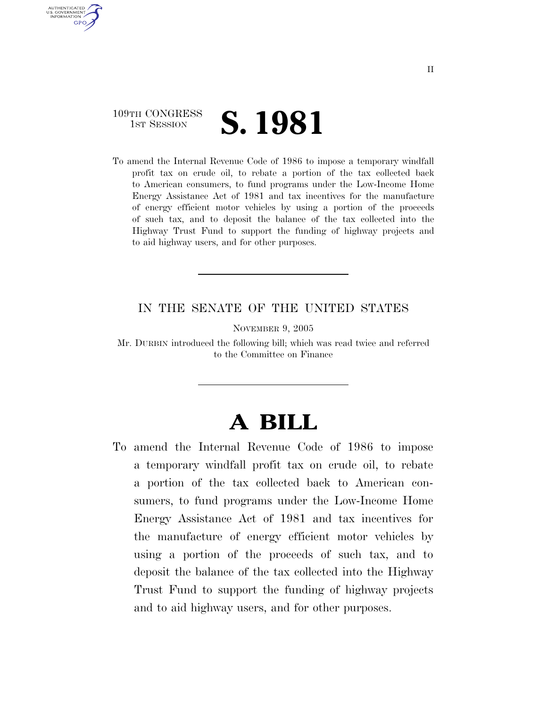### 109TH CONGRESS **IST SESSION S. 1981**

AUTHENTICATED U.S. GOVERNMENT **GPO** 

> To amend the Internal Revenue Code of 1986 to impose a temporary windfall profit tax on crude oil, to rebate a portion of the tax collected back to American consumers, to fund programs under the Low-Income Home Energy Assistance Act of 1981 and tax incentives for the manufacture of energy efficient motor vehicles by using a portion of the proceeds of such tax, and to deposit the balance of the tax collected into the Highway Trust Fund to support the funding of highway projects and to aid highway users, and for other purposes.

### IN THE SENATE OF THE UNITED STATES

NOVEMBER 9, 2005

Mr. DURBIN introduced the following bill; which was read twice and referred to the Committee on Finance

# **A BILL**

To amend the Internal Revenue Code of 1986 to impose a temporary windfall profit tax on crude oil, to rebate a portion of the tax collected back to American consumers, to fund programs under the Low-Income Home Energy Assistance Act of 1981 and tax incentives for the manufacture of energy efficient motor vehicles by using a portion of the proceeds of such tax, and to deposit the balance of the tax collected into the Highway Trust Fund to support the funding of highway projects and to aid highway users, and for other purposes.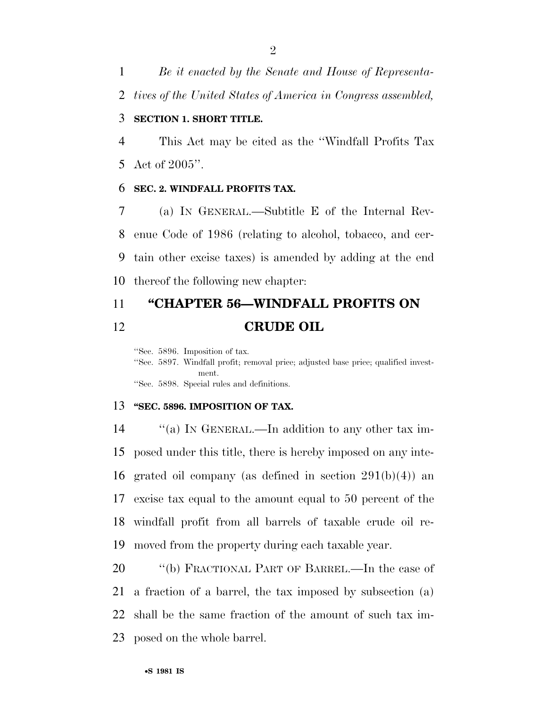*Be it enacted by the Senate and House of Representa-*

*tives of the United States of America in Congress assembled,* 

#### **SECTION 1. SHORT TITLE.**

 This Act may be cited as the ''Windfall Profits Tax Act of 2005''.

#### **SEC. 2. WINDFALL PROFITS TAX.**

 (a) IN GENERAL.—Subtitle E of the Internal Rev- enue Code of 1986 (relating to alcohol, tobacco, and cer- tain other excise taxes) is amended by adding at the end thereof the following new chapter:

## **''CHAPTER 56—WINDFALL PROFITS ON CRUDE OIL**

''Sec. 5896. Imposition of tax.

''Sec. 5897. Windfall profit; removal price; adjusted base price; qualified investment. ''Sec. 5898. Special rules and definitions.

#### **''SEC. 5896. IMPOSITION OF TAX.**

14 "(a) In GENERAL.—In addition to any other tax im- posed under this title, there is hereby imposed on any inte-16 grated oil company (as defined in section  $291(b)(4)$ ) an excise tax equal to the amount equal to 50 percent of the windfall profit from all barrels of taxable crude oil re-moved from the property during each taxable year.

20 "(b) FRACTIONAL PART OF BARREL.—In the case of a fraction of a barrel, the tax imposed by subsection (a) shall be the same fraction of the amount of such tax im-posed on the whole barrel.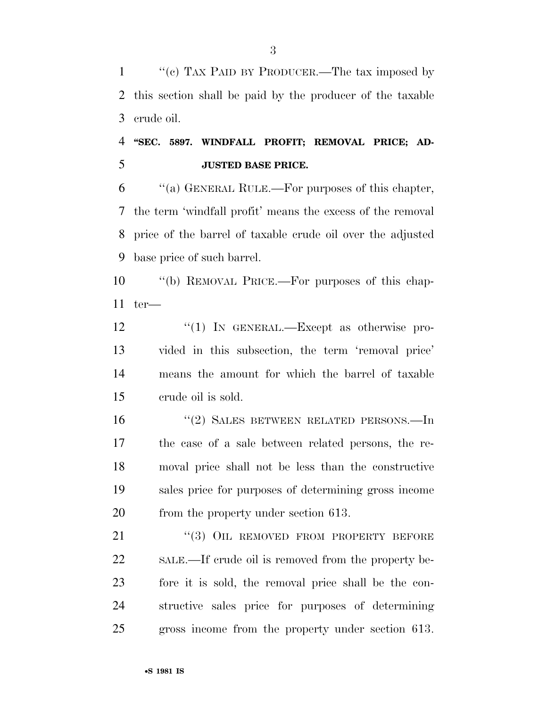''(c) TAX PAID BY PRODUCER.—The tax imposed by this section shall be paid by the producer of the taxable crude oil.

### **''SEC. 5897. WINDFALL PROFIT; REMOVAL PRICE; AD-JUSTED BASE PRICE.**

 ''(a) GENERAL RULE.—For purposes of this chapter, the term 'windfall profit' means the excess of the removal price of the barrel of taxable crude oil over the adjusted base price of such barrel.

 ''(b) REMOVAL PRICE.—For purposes of this chap-ter—

12 "(1) In GENERAL.—Except as otherwise pro- vided in this subsection, the term 'removal price' means the amount for which the barrel of taxable crude oil is sold.

 ''(2) SALES BETWEEN RELATED PERSONS.—In the case of a sale between related persons, the re- moval price shall not be less than the constructive sales price for purposes of determining gross income 20 from the property under section 613.

21 "(3) OIL REMOVED FROM PROPERTY BEFORE SALE.—If crude oil is removed from the property be- fore it is sold, the removal price shall be the con- structive sales price for purposes of determining gross income from the property under section 613.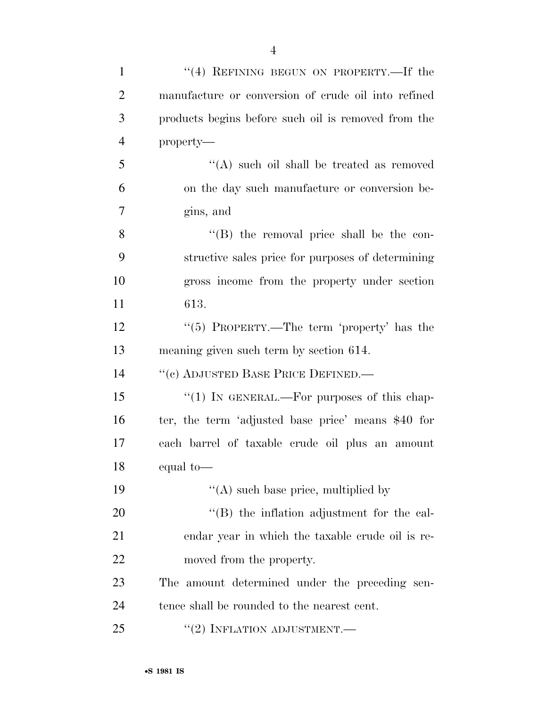| $\mathbf{1}$   | "(4) REFINING BEGUN ON PROPERTY.—If the             |
|----------------|-----------------------------------------------------|
| $\overline{2}$ | manufacture or conversion of crude oil into refined |
| 3              | products begins before such oil is removed from the |
| $\overline{4}$ | property—                                           |
| 5              | "(A) such oil shall be treated as removed           |
| 6              | on the day such manufacture or conversion be-       |
| $\overline{7}$ | gins, and                                           |
| 8              | $\lq\lq$ (B) the removal price shall be the con-    |
| 9              | structive sales price for purposes of determining   |
| 10             | gross income from the property under section        |
| 11             | 613.                                                |
| 12             | " $(5)$ PROPERTY.—The term 'property' has the       |
| 13             | meaning given such term by section 614.             |
| 14             | "(c) ADJUSTED BASE PRICE DEFINED.—                  |
| 15             | " $(1)$ IN GENERAL.—For purposes of this chap-      |
| 16             | ter, the term 'adjusted base price' means \$40 for  |
| 17             | each barrel of taxable crude oil plus an amount     |
| 18             | equal to-                                           |
| 19             | $\lq\lq$ such base price, multiplied by             |
| 20             | "(B) the inflation adjustment for the cal-          |
| 21             | endar year in which the taxable crude oil is re-    |
| 22             | moved from the property.                            |
| 23             | The amount determined under the preceding sen-      |
| 24             | tence shall be rounded to the nearest cent.         |
| 25             | $``(2)$ INFLATION ADJUSTMENT.—                      |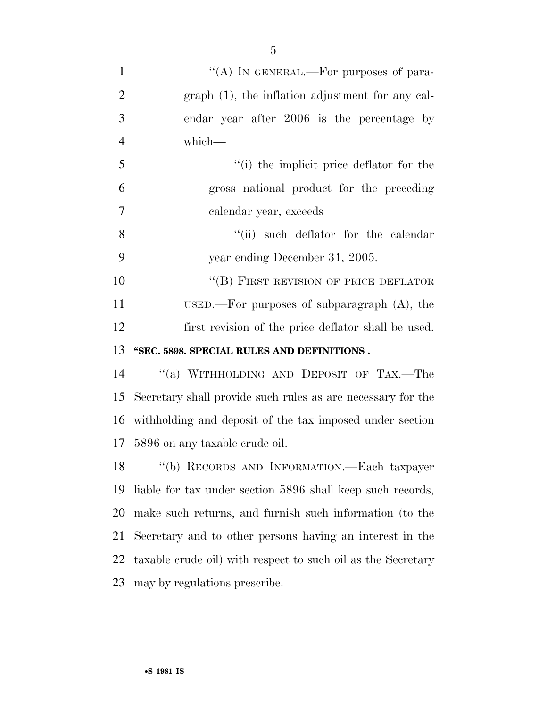| $\mathbf{1}$   | "(A) IN GENERAL.—For purposes of para-                      |
|----------------|-------------------------------------------------------------|
| $\overline{2}$ | graph (1), the inflation adjustment for any cal-            |
| 3              | endar year after 2006 is the percentage by                  |
| $\overline{4}$ | which-                                                      |
| 5              | "(i) the implicit price deflator for the                    |
| 6              | gross national product for the preceding                    |
| $\overline{7}$ | calendar year, exceeds                                      |
| 8              | "(ii) such deflator for the calendar                        |
| 9              | year ending December 31, 2005.                              |
| 10             | "(B) FIRST REVISION OF PRICE DEFLATOR                       |
| 11             | USED.—For purposes of subparagraph $(A)$ , the              |
| 12             | first revision of the price deflator shall be used.         |
| 13             | "SEC. 5898. SPECIAL RULES AND DEFINITIONS.                  |
| 14             | "(a) WITHHOLDING AND DEPOSIT OF TAX.—The                    |
| 15             | Secretary shall provide such rules as are necessary for the |
| 16             | withholding and deposit of the tax imposed under section    |
|                | 17 5896 on any taxable crude oil.                           |
|                |                                                             |

 ''(b) RECORDS AND INFORMATION.—Each taxpayer liable for tax under section 5896 shall keep such records, make such returns, and furnish such information (to the Secretary and to other persons having an interest in the taxable crude oil) with respect to such oil as the Secretary may by regulations prescribe.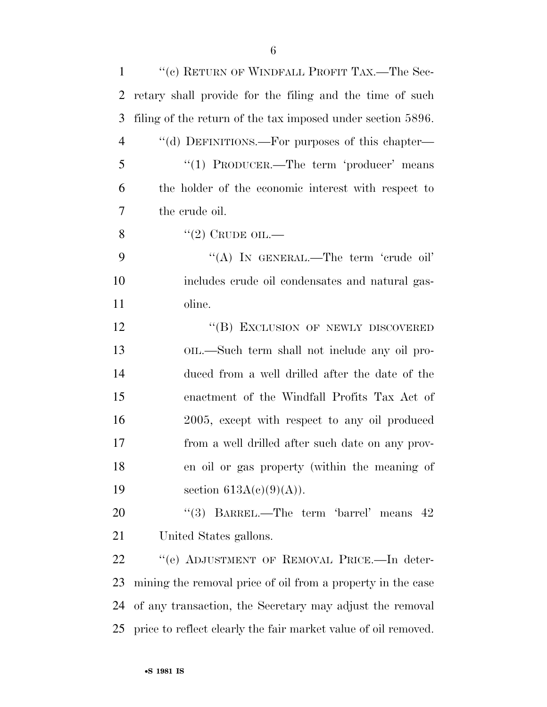| $\mathbf{1}$   | "(c) RETURN OF WINDFALL PROFIT TAX.—The Sec-                   |
|----------------|----------------------------------------------------------------|
| $\overline{2}$ | retary shall provide for the filing and the time of such       |
| 3              | filing of the return of the tax imposed under section 5896.    |
| $\overline{4}$ | "(d) DEFINITIONS.—For purposes of this chapter—                |
| 5              | "(1) PRODUCER.—The term 'producer' means                       |
| 6              | the holder of the economic interest with respect to            |
| 7              | the crude oil.                                                 |
| 8              | "(2) CRUDE OIL.—                                               |
| 9              | "(A) IN GENERAL.—The term 'crude oil'                          |
| 10             | includes crude oil condensates and natural gas-                |
| 11             | oline.                                                         |
| 12             | "(B) EXCLUSION OF NEWLY DISCOVERED                             |
| 13             | OIL.—Such term shall not include any oil pro-                  |
| 14             | duced from a well drilled after the date of the                |
| 15             | enactment of the Windfall Profits Tax Act of                   |
| 16             | 2005, except with respect to any oil produced                  |
| 17             | from a well drilled after such date on any prov-               |
| 18             | en oil or gas property (within the meaning of                  |
| 19             | section $613A(c)(9)(A)$ .                                      |
| 20             | "(3) BARREL.—The term 'barrel' means $42$                      |
| 21             | United States gallons.                                         |
| 22             | "(e) ADJUSTMENT OF REMOVAL PRICE.—In deter-                    |
| 23             | mining the removal price of oil from a property in the case    |
| 24             | of any transaction, the Secretary may adjust the removal       |
| 25             | price to reflect clearly the fair market value of oil removed. |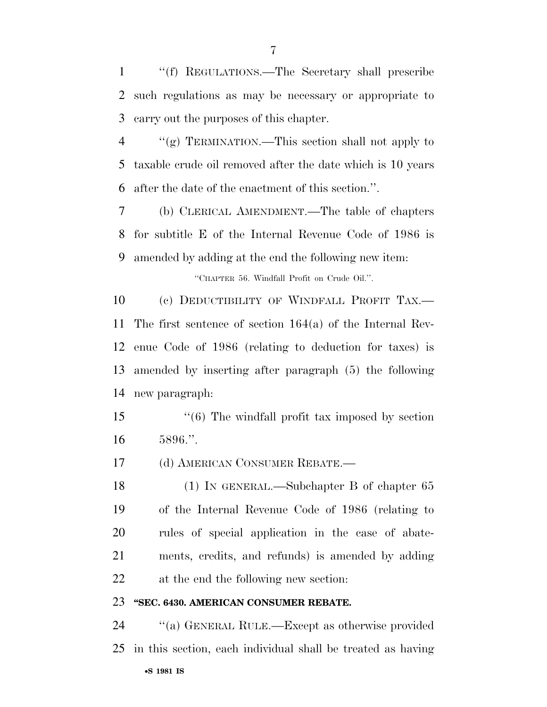''(f) REGULATIONS.—The Secretary shall prescribe such regulations as may be necessary or appropriate to carry out the purposes of this chapter.

 ''(g) TERMINATION.—This section shall not apply to taxable crude oil removed after the date which is 10 years after the date of the enactment of this section.''.

 (b) CLERICAL AMENDMENT.—The table of chapters for subtitle E of the Internal Revenue Code of 1986 is amended by adding at the end the following new item:

''CHAPTER 56. Windfall Profit on Crude Oil.''.

10 (c) DEDUCTIBILITY OF WINDFALL PROFIT TAX.— The first sentence of section 164(a) of the Internal Rev- enue Code of 1986 (relating to deduction for taxes) is amended by inserting after paragraph (5) the following new paragraph:

15 ''(6) The windfall profit tax imposed by section 5896.''.

(d) AMERICAN CONSUMER REBATE.—

 (1) IN GENERAL.—Subchapter B of chapter 65 of the Internal Revenue Code of 1986 (relating to rules of special application in the case of abate- ments, credits, and refunds) is amended by adding at the end the following new section:

#### **''SEC. 6430. AMERICAN CONSUMER REBATE.**

•**S 1981 IS** ''(a) GENERAL RULE.—Except as otherwise provided in this section, each individual shall be treated as having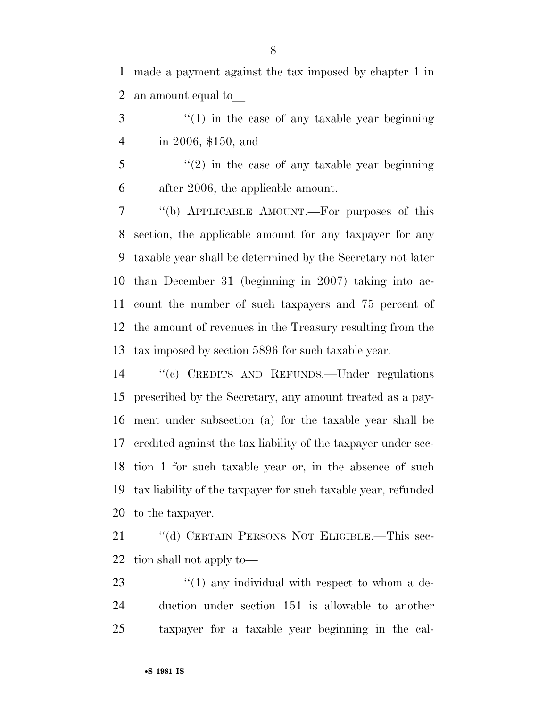made a payment against the tax imposed by chapter 1 in 2 an amount equal to

3 "(1) in the case of any taxable year beginning in 2006, \$150, and

 ''(2) in the case of any taxable year beginning after 2006, the applicable amount.

 ''(b) APPLICABLE AMOUNT.—For purposes of this section, the applicable amount for any taxpayer for any taxable year shall be determined by the Secretary not later than December 31 (beginning in 2007) taking into ac- count the number of such taxpayers and 75 percent of the amount of revenues in the Treasury resulting from the tax imposed by section 5896 for such taxable year.

 ''(c) CREDITS AND REFUNDS.—Under regulations prescribed by the Secretary, any amount treated as a pay- ment under subsection (a) for the taxable year shall be credited against the tax liability of the taxpayer under sec- tion 1 for such taxable year or, in the absence of such tax liability of the taxpayer for such taxable year, refunded to the taxpayer.

21 "(d) CERTAIN PERSONS NOT ELIGIBLE.—This sec-tion shall not apply to—

23 ''(1) any individual with respect to whom a de- duction under section 151 is allowable to another taxpayer for a taxable year beginning in the cal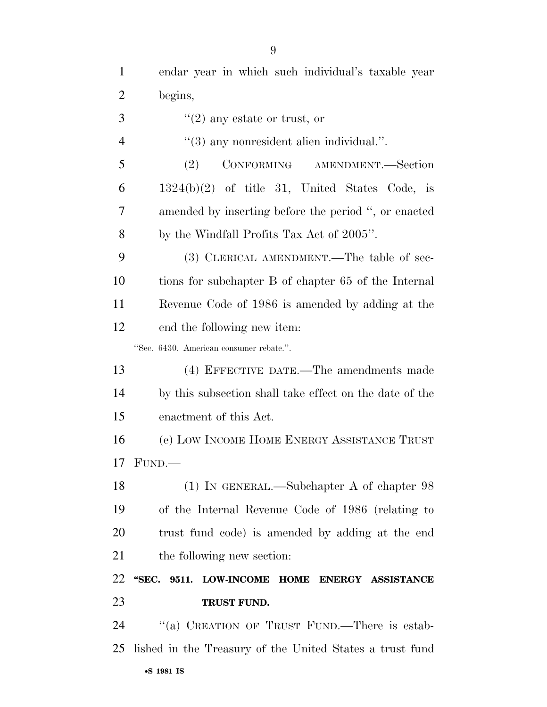endar year in which such individual's taxable year begins,

''(2) any estate or trust, or

4  $(3)$  any nonresident alien individual.".

 (2) CONFORMING AMENDMENT.—Section  $6 \qquad 1324(b)(2)$  of title 31, United States Code, is amended by inserting before the period '', or enacted by the Windfall Profits Tax Act of 2005''.

 (3) CLERICAL AMENDMENT.—The table of sec- tions for subchapter B of chapter 65 of the Internal Revenue Code of 1986 is amended by adding at the end the following new item:

''Sec. 6430. American consumer rebate.''.

 (4) EFFECTIVE DATE.—The amendments made by this subsection shall take effect on the date of the enactment of this Act.

 (e) LOW INCOME HOME ENERGY ASSISTANCE TRUST FUND $-$ 

 (1) IN GENERAL.—Subchapter A of chapter 98 of the Internal Revenue Code of 1986 (relating to trust fund code) is amended by adding at the end 21 the following new section:

### **''SEC. 9511. LOW-INCOME HOME ENERGY ASSISTANCE TRUST FUND.**

•**S 1981 IS** 24 "(a) CREATION OF TRUST FUND.—There is estab-lished in the Treasury of the United States a trust fund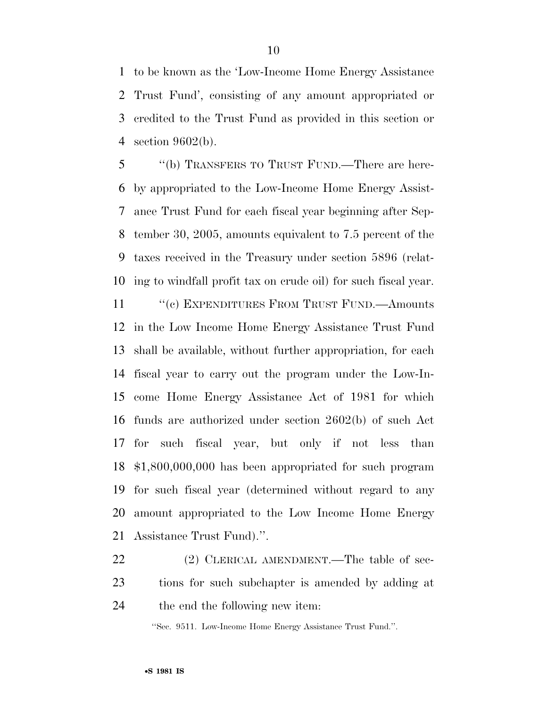to be known as the 'Low-Income Home Energy Assistance Trust Fund', consisting of any amount appropriated or credited to the Trust Fund as provided in this section or section 9602(b).

 ''(b) TRANSFERS TO TRUST FUND.—There are here- by appropriated to the Low-Income Home Energy Assist- ance Trust Fund for each fiscal year beginning after Sep- tember 30, 2005, amounts equivalent to 7.5 percent of the taxes received in the Treasury under section 5896 (relat-ing to windfall profit tax on crude oil) for such fiscal year.

11 "(c) EXPENDITURES FROM TRUST FUND.—Amounts in the Low Income Home Energy Assistance Trust Fund shall be available, without further appropriation, for each fiscal year to carry out the program under the Low-In- come Home Energy Assistance Act of 1981 for which funds are authorized under section 2602(b) of such Act for such fiscal year, but only if not less than \$1,800,000,000 has been appropriated for such program for such fiscal year (determined without regard to any amount appropriated to the Low Income Home Energy Assistance Trust Fund).''.

22 (2) CLERICAL AMENDMENT.—The table of sec- tions for such subchapter is amended by adding at the end the following new item:

''Sec. 9511. Low-Income Home Energy Assistance Trust Fund.''.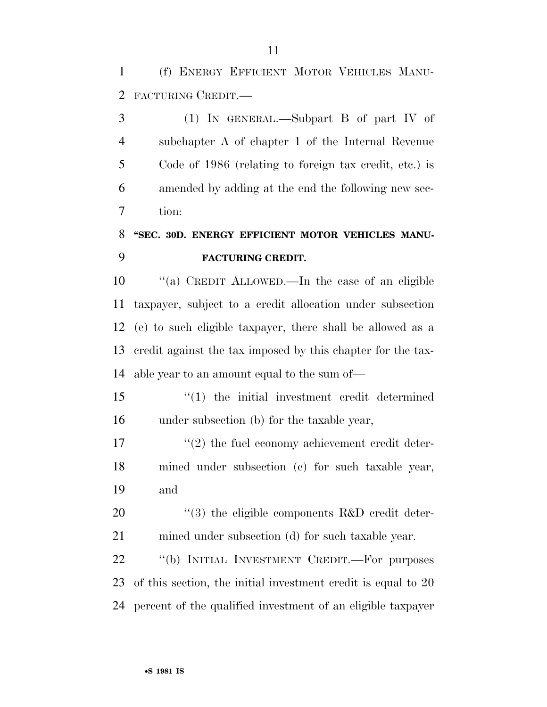(f) ENERGY EFFICIENT MOTOR VEHICLES MANU-FACTURING CREDIT.—

 (1) IN GENERAL.—Subpart B of part IV of subchapter A of chapter 1 of the Internal Revenue Code of 1986 (relating to foreign tax credit, etc.) is amended by adding at the end the following new sec-tion:

# **''SEC. 30D. ENERGY EFFICIENT MOTOR VEHICLES MANU-FACTURING CREDIT.**

 ''(a) CREDIT ALLOWED.—In the case of an eligible taxpayer, subject to a credit allocation under subsection (e) to such eligible taxpayer, there shall be allowed as a credit against the tax imposed by this chapter for the tax-able year to an amount equal to the sum of—

 ''(1) the initial investment credit determined under subsection (b) for the taxable year,

17  $\frac{17}{2}$  the fuel economy achievement credit deter- mined under subsection (c) for such taxable year, and

20  $\frac{1}{20}$  the eligible components R&D credit deter-mined under subsection (d) for such taxable year.

22 "(b) INITIAL INVESTMENT CREDIT.—For purposes of this section, the initial investment credit is equal to 20 percent of the qualified investment of an eligible taxpayer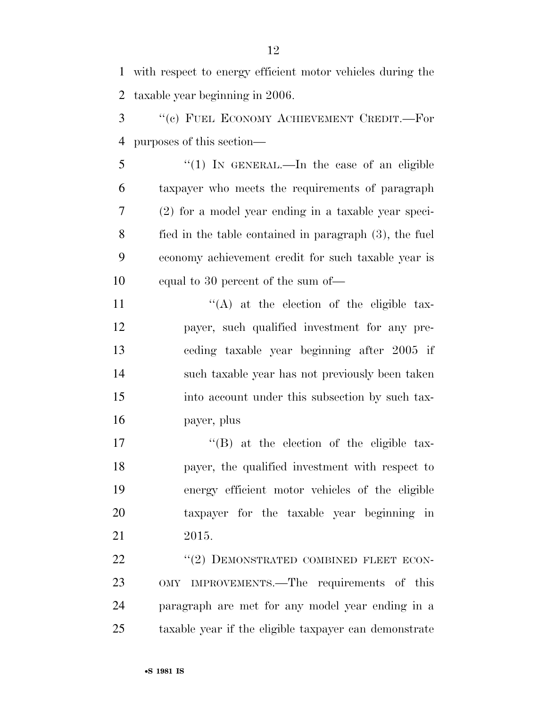with respect to energy efficient motor vehicles during the taxable year beginning in 2006.

 ''(c) FUEL ECONOMY ACHIEVEMENT CREDIT.—For purposes of this section—

 ''(1) IN GENERAL.—In the case of an eligible taxpayer who meets the requirements of paragraph (2) for a model year ending in a taxable year speci- fied in the table contained in paragraph (3), the fuel economy achievement credit for such taxable year is equal to 30 percent of the sum of—

 $"({\rm A})$  at the election of the eligible tax- payer, such qualified investment for any pre- ceding taxable year beginning after 2005 if such taxable year has not previously been taken into account under this subsection by such tax-payer, plus

17 ''(B) at the election of the eligible tax- payer, the qualified investment with respect to energy efficient motor vehicles of the eligible taxpayer for the taxable year beginning in 2015.

22 "(2) DEMONSTRATED COMBINED FLEET ECON- OMY IMPROVEMENTS.—The requirements of this paragraph are met for any model year ending in a taxable year if the eligible taxpayer can demonstrate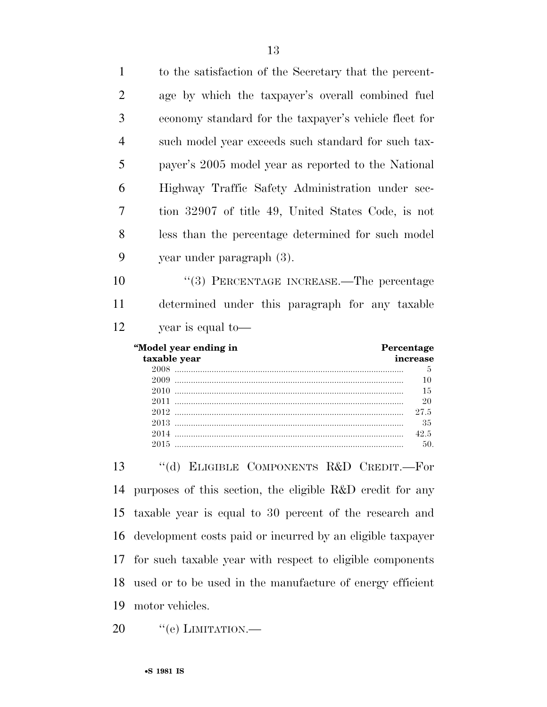| 1              | to the satisfaction of the Secretary that the percent-                                                              |
|----------------|---------------------------------------------------------------------------------------------------------------------|
| $\overline{2}$ | age by which the taxpayer's overall combined fuel                                                                   |
| 3              | economy standard for the taxpayer's vehicle fleet for                                                               |
| $\overline{4}$ | such model year exceeds such standard for such tax-                                                                 |
| 5              | payer's 2005 model year as reported to the National                                                                 |
| 6              | Highway Traffic Safety Administration under sec-                                                                    |
| 7              | tion 32907 of title 49, United States Code, is not                                                                  |
| 8              | less than the percentage determined for such model                                                                  |
| 9              | year under paragraph (3).                                                                                           |
| 10             | "(3) PERCENTAGE INCREASE.—The percentage                                                                            |
| 11             | determined under this paragraph for any taxable                                                                     |
| 12             | year is equal to-                                                                                                   |
|                |                                                                                                                     |
|                | "Model year ending in<br>Percentage<br>taxable year<br>increase<br>5<br>10<br>15<br>20<br>27.5<br>35<br>42.5<br>50. |
| 13             | "(d) ELIGIBLE COMPONENTS R&D CREDIT.—For                                                                            |
| 14             | purposes of this section, the eligible R&D credit for any                                                           |
| 15             | taxable year is equal to 30 percent of the research and                                                             |
| 16             | development costs paid or incurred by an eligible taxpayer                                                          |
| 17             | for such taxable year with respect to eligible components                                                           |
| 18             | used or to be used in the manufacture of energy efficient                                                           |

20 "(e) LIMITATION.—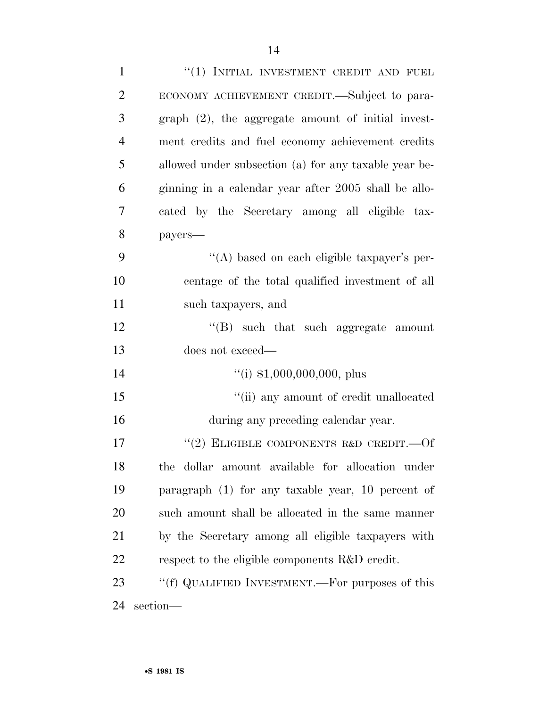| $\mathbf{1}$   | "(1) INITIAL INVESTMENT CREDIT AND FUEL               |
|----------------|-------------------------------------------------------|
| $\overline{2}$ | ECONOMY ACHIEVEMENT CREDIT.—Subject to para-          |
| 3              | $graph (2)$ , the aggregate amount of initial invest- |
| $\overline{4}$ | ment credits and fuel economy achievement credits     |
| 5              | allowed under subsection (a) for any taxable year be- |
| 6              | ginning in a calendar year after 2005 shall be allo-  |
| $\overline{7}$ | cated by the Secretary among all eligible tax-        |
| 8              | payers-                                               |
| 9              | "(A) based on each eligible taxpayer's per-           |
| 10             | centage of the total qualified investment of all      |
| 11             | such taxpayers, and                                   |
| 12             | $\lq\lq$ such that such aggregate amount              |
| 13             | does not exceed—                                      |
| 14             | $\lq($ i) \$1,000,000,000, plus                       |
| 15             | "(ii) any amount of credit unallocated                |
| 16             | during any preceding calendar year.                   |
| 17             | "(2) ELIGIBLE COMPONENTS R&D CREDIT. $-0f$            |
| 18             | the dollar amount available for allocation under      |
| 19             | paragraph (1) for any taxable year, 10 percent of     |
| 20             | such amount shall be allocated in the same manner     |
| 21             | by the Secretary among all eligible taxpayers with    |
| 22             | respect to the eligible components R&D credit.        |
| 23             | "(f) QUALIFIED INVESTMENT.—For purposes of this       |
| 24             | section-                                              |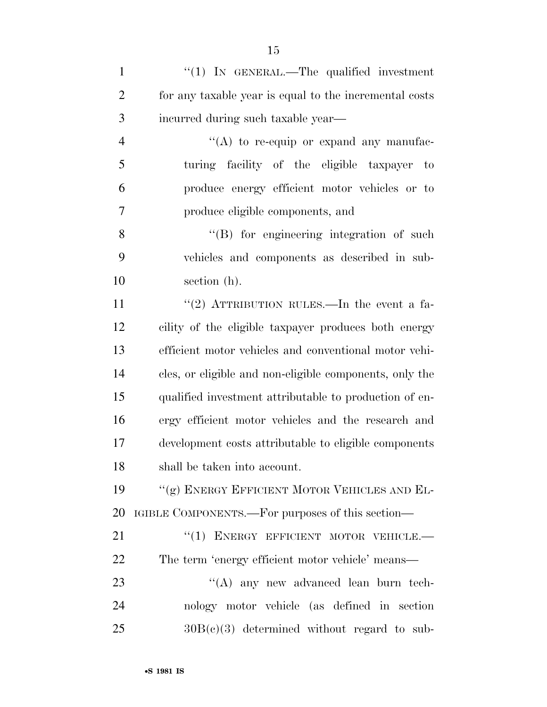| $\mathbf{1}$   | " $(1)$ IN GENERAL.—The qualified investment            |
|----------------|---------------------------------------------------------|
| $\overline{2}$ | for any taxable year is equal to the incremental costs  |
| 3              | incurred during such taxable year—                      |
| $\overline{4}$ | $\lq\lq$ to re-equip or expand any manufac-             |
| 5              | turing facility of the eligible taxpayer<br>$-$ to      |
| 6              | produce energy efficient motor vehicles or to           |
| 7              | produce eligible components, and                        |
| 8              | $\lq\lq(B)$ for engineering integration of such         |
| 9              | vehicles and components as described in sub-            |
| 10             | section (h).                                            |
| 11             | "(2) ATTRIBUTION RULES.—In the event a fa-              |
| 12             | cility of the eligible taxpayer produces both energy    |
| 13             | efficient motor vehicles and conventional motor vehi-   |
| 14             | cles, or eligible and non-eligible components, only the |
| 15             | qualified investment attributable to production of en-  |
| 16             | ergy efficient motor vehicles and the research and      |
| 17             | development costs attributable to eligible components   |
| 18             | shall be taken into account.                            |
| 19             | "(g) ENERGY EFFICIENT MOTOR VEHICLES AND EL-            |
| 20             | IGIBLE COMPONENTS.—For purposes of this section—        |
| 21             | "(1) ENERGY EFFICIENT MOTOR VEHICLE.-                   |
| 22             | The term 'energy efficient motor vehicle' means—        |
| 23             | "(A) any new advanced lean burn tech-                   |
| 24             | nology motor vehicle (as defined in section             |
| 25             | $30B(c)(3)$ determined without regard to sub-           |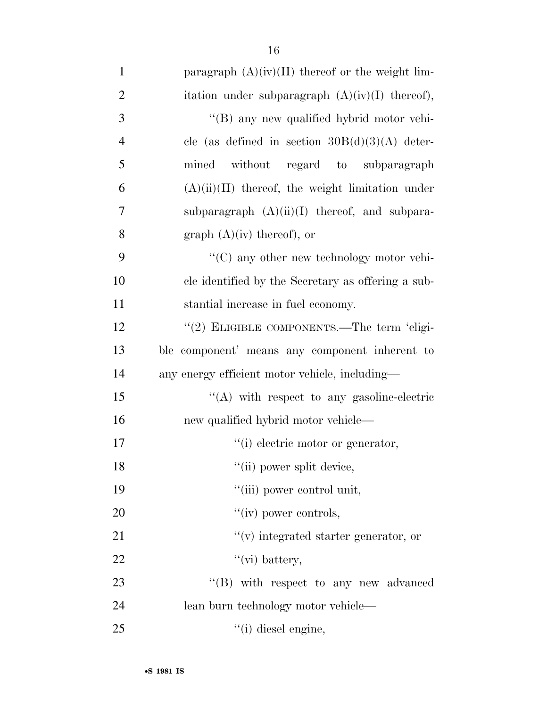1 paragraph  $(A)(iv)(II)$  thereof or the weight lim-2 itation under subparagraph  $(A)(iv)(I)$  thereof), 3  $\langle (B)$  any new qualified hybrid motor vehi-4 cle (as defined in section  $30B(d)(3)(A)$  deter-5 mined without regard to subparagraph 6  $(A)(ii)(II)$  thereof, the weight limitation under 7 subparagraph  $(A)(ii)(I)$  thereof, and subpara-8 graph  $(A)(iv)$  thereof), or 9  $\cdot$  (C) any other new technology motor vehi-10 cle identified by the Secretary as offering a sub-11 stantial increase in fuel economy. 12 "(2) ELIGIBLE COMPONENTS.—The term 'eligi-13 ble component' means any component inherent to 14 any energy efficient motor vehicle, including— 15 "(A) with respect to any gasoline-electric

16 new qualified hybrid motor vehicle—

- 17  $\frac{1}{10}$  electric motor or generator,
- 18 ''(ii) power split device,

19  $"$ (iii) power control unit,

- 20  $''(iv)$  power controls,
- 21  $''(v)$  integrated starter generator, or
- 22  $"(\text{vi})$  battery,

23  $\text{``(B)}$  with respect to any new advanced 24 lean burn technology motor vehicle— 25 ''(i) diesel engine,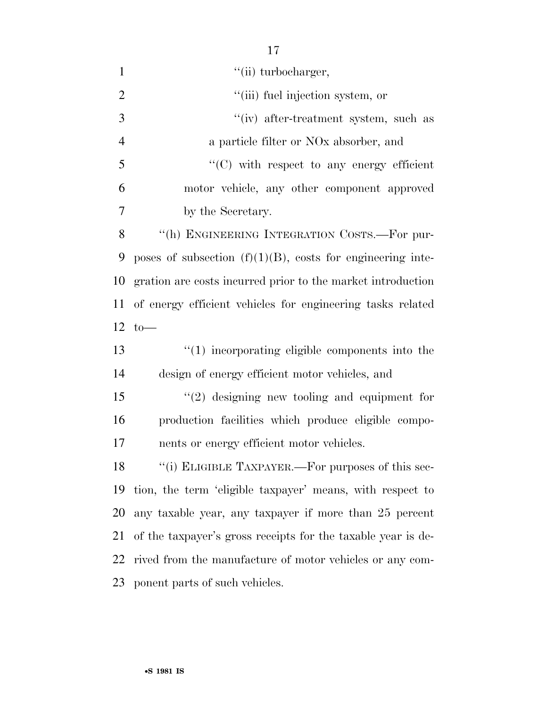| $\mathbf{1}$   | "(ii) turbocharger,                                           |
|----------------|---------------------------------------------------------------|
| $\overline{2}$ | "(iii) fuel injection system, or                              |
| 3              | "(iv) after-treatment system, such as                         |
| $\overline{4}$ | a particle filter or NO <sub>x</sub> absorber, and            |
| 5              | $\cdot$ (C) with respect to any energy efficient              |
| 6              | motor vehicle, any other component approved                   |
| 7              | by the Secretary.                                             |
| 8              | "(h) ENGINEERING INTEGRATION COSTS.—For pur-                  |
| 9              | poses of subsection $(f)(1)(B)$ , costs for engineering inte- |
| 10             | gration are costs incurred prior to the market introduction   |
| 11             | of energy efficient vehicles for engineering tasks related    |
|                | $12 \text{ to}$ —                                             |
| 13             | $\cdot$ (1) incorporating eligible components into the        |
| 14             | design of energy efficient motor vehicles, and                |
| 15             | $f'(2)$ designing new tooling and equipment for               |
| 16             | production facilities which produce eligible compo-           |
| 17             | nents or energy efficient motor vehicles.                     |
|                | 18 "(i) ELIGIBLE TAXPAYER.—For purposes of this sec-          |
| 19             | tion, the term 'eligible taxpayer' means, with respect to     |
| 20             | any taxable year, any taxpayer if more than 25 percent        |
| 21             | of the taxpayer's gross receipts for the taxable year is de-  |
| 22             | rived from the manufacture of motor vehicles or any com-      |
| 23             | ponent parts of such vehicles.                                |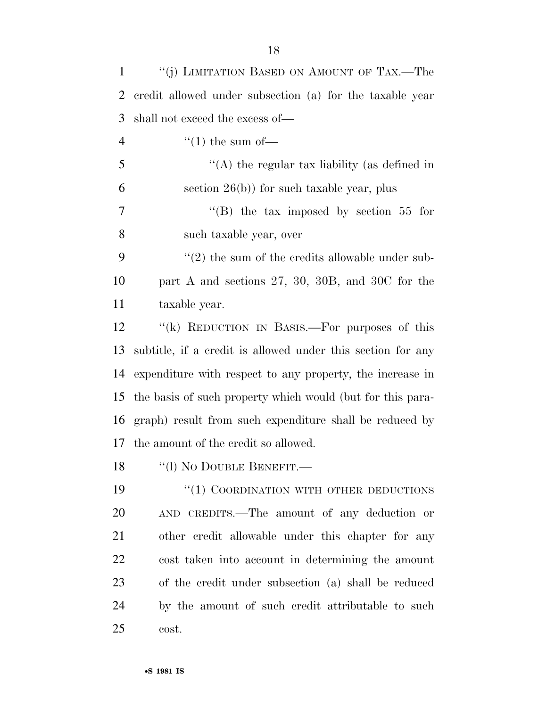| $\mathbf{1}$   | "(j) LIMITATION BASED ON AMOUNT OF TAX.—The                      |
|----------------|------------------------------------------------------------------|
| $\overline{2}$ | credit allowed under subsection (a) for the taxable year         |
| 3              | shall not exceed the excess of—                                  |
| $\overline{4}$ | $\lq(1)$ the sum of —                                            |
| 5              | "(A) the regular tax liability (as defined in                    |
| 6              | section $26(b)$ ) for such taxable year, plus                    |
| 7              | "(B) the tax imposed by section 55 for                           |
| 8              | such taxable year, over                                          |
| 9              | $\cdot\cdot\cdot(2)$ the sum of the credits allowable under sub- |
| 10             | part A and sections $27, 30, 30B,$ and $30C$ for the             |
| 11             | taxable year.                                                    |
| 12             | "(k) REDUCTION IN BASIS.—For purposes of this                    |
| 13             | subtitle, if a credit is allowed under this section for any      |
| 14             | expenditure with respect to any property, the increase in        |
| 15             | the basis of such property which would (but for this para-       |
| 16             | graph) result from such expenditure shall be reduced by          |
| 17             | the amount of the credit so allowed.                             |
|                | 18 "(1) No DOUBLE BENEFIT.—                                      |
| 19             | "(1) COORDINATION WITH OTHER DEDUCTIONS                          |
| 20             | AND CREDITS.—The amount of any deduction or                      |
| 21             | other credit allowable under this chapter for any                |
| 22             | cost taken into account in determining the amount                |
| 23             | of the credit under subsection (a) shall be reduced              |
| 24             | by the amount of such credit attributable to such                |
| 25             | cost.                                                            |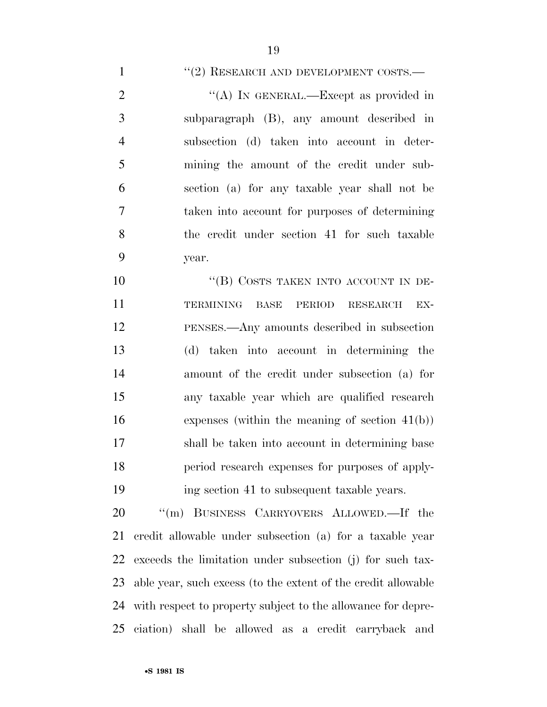#### 1 ''(2) RESEARCH AND DEVELOPMENT COSTS.—

2 "(A) IN GENERAL.—Except as provided in subparagraph (B), any amount described in subsection (d) taken into account in deter- mining the amount of the credit under sub- section (a) for any taxable year shall not be taken into account for purposes of determining the credit under section 41 for such taxable year.

10 "(B) COSTS TAKEN INTO ACCOUNT IN DE- TERMINING BASE PERIOD RESEARCH EX- PENSES.—Any amounts described in subsection (d) taken into account in determining the amount of the credit under subsection (a) for any taxable year which are qualified research expenses (within the meaning of section 41(b)) shall be taken into account in determining base period research expenses for purposes of apply-ing section 41 to subsequent taxable years.

 ''(m) BUSINESS CARRYOVERS ALLOWED.—If the credit allowable under subsection (a) for a taxable year exceeds the limitation under subsection (j) for such tax- able year, such excess (to the extent of the credit allowable with respect to property subject to the allowance for depre-ciation) shall be allowed as a credit carryback and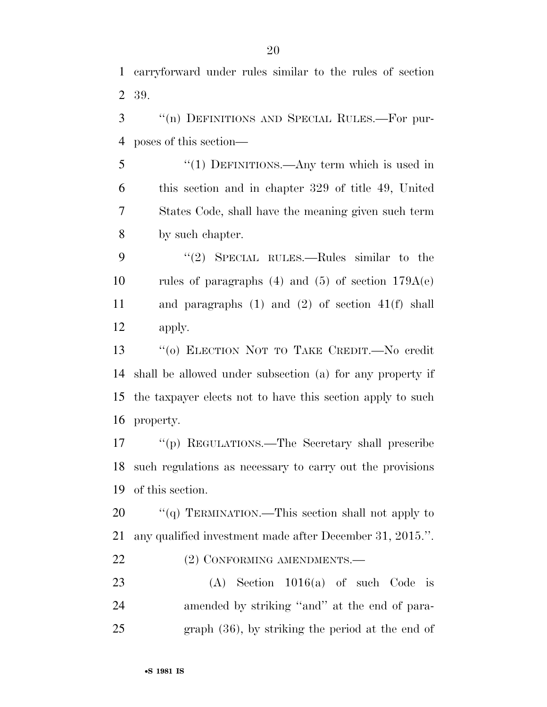carryforward under rules similar to the rules of section 39.

 ''(n) DEFINITIONS AND SPECIAL RULES.—For pur-poses of this section—

5 "(1) DEFINITIONS.—Any term which is used in this section and in chapter 329 of title 49, United States Code, shall have the meaning given such term by such chapter.

9 "(2) SPECIAL RULES.—Rules similar to the 10 rules of paragraphs  $(4)$  and  $(5)$  of section  $179A(e)$  and paragraphs (1) and (2) of section 41(f) shall apply.

 ''(o) ELECTION NOT TO TAKE CREDIT.—No credit shall be allowed under subsection (a) for any property if the taxpayer elects not to have this section apply to such property.

 ''(p) REGULATIONS.—The Secretary shall prescribe such regulations as necessary to carry out the provisions of this section.

20 "(q) TERMINATION.—This section shall not apply to any qualified investment made after December 31, 2015.''.

22 (2) CONFORMING AMENDMENTS.—

 (A) Section 1016(a) of such Code is amended by striking ''and'' at the end of para-graph (36), by striking the period at the end of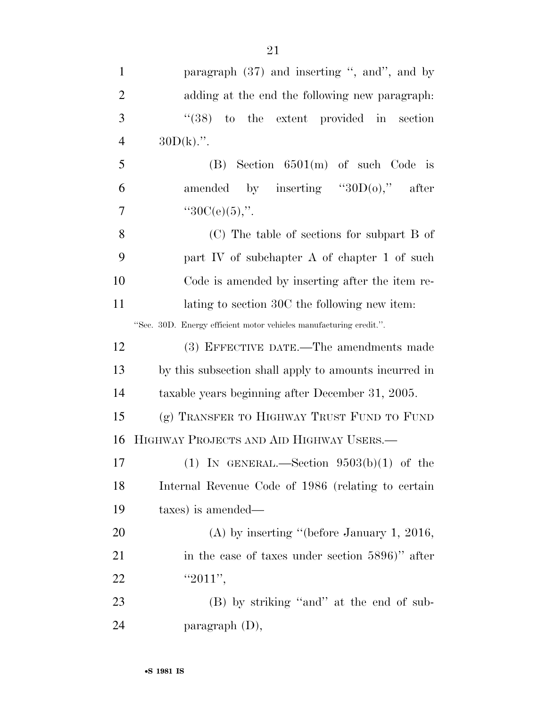1 paragraph (37) and inserting ", and", and by adding at the end the following new paragraph: ''(38) to the extent provided in section  $30D(k)$ .". (B) Section  $6501(m)$  of such Code is 6 amended by inserting  $"30D(0)"$  after  $"30C(e)(5),"$  (C) The table of sections for subpart B of part IV of subchapter A of chapter 1 of such Code is amended by inserting after the item re-11 lating to section 30C the following new item: ''Sec. 30D. Energy efficient motor vehicles manufacturing credit.''. (3) EFFECTIVE DATE.—The amendments made by this subsection shall apply to amounts incurred in taxable years beginning after December 31, 2005. (g) TRANSFER TO HIGHWAY TRUST FUND TO FUND HIGHWAY PROJECTS AND AID HIGHWAY USERS.— 17 (1) IN GENERAL.—Section  $9503(b)(1)$  of the Internal Revenue Code of 1986 (relating to certain taxes) is amended— 20 (A) by inserting "(before January 1, 2016, 21 in the case of taxes under section 5896)" after 22  $"2011"$ , 23 (B) by striking "and" at the end of sub-

24 paragraph (D),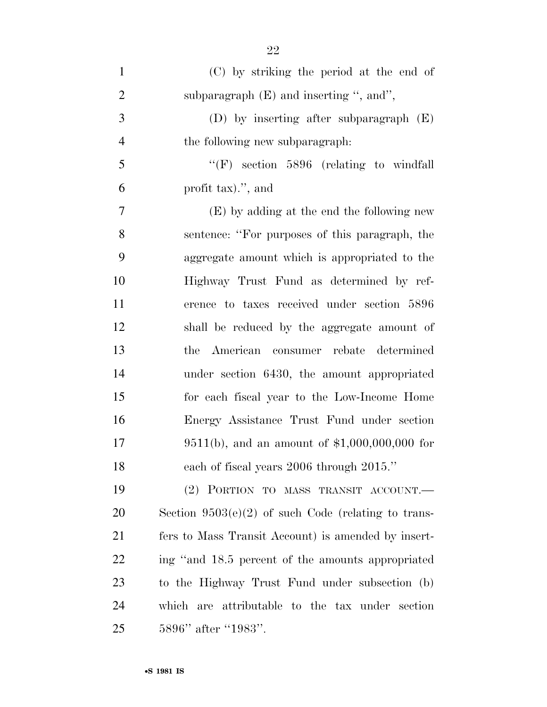| $\mathbf{1}$   | (C) by striking the period at the end of              |
|----------------|-------------------------------------------------------|
| $\overline{2}$ | subparagraph $(E)$ and inserting ", and",             |
| 3              | (D) by inserting after subparagraph $(E)$             |
| $\overline{4}$ | the following new subparagraph.                       |
| 5              | " $(F)$ section 5896 (relating to windfall)"          |
| 6              | profit tax).", and                                    |
| 7              | (E) by adding at the end the following new            |
| 8              | sentence: "For purposes of this paragraph, the        |
| 9              | aggregate amount which is appropriated to the         |
| 10             | Highway Trust Fund as determined by ref-              |
| 11             | erence to taxes received under section 5896           |
| 12             | shall be reduced by the aggregate amount of           |
| 13             | American consumer rebate determined<br>the            |
| 14             | under section 6430, the amount appropriated           |
| 15             | for each fiscal year to the Low-Income Home           |
| 16             | Energy Assistance Trust Fund under section            |
| 17             | 9511(b), and an amount of $$1,000,000,000$ for        |
| 18             | each of fiscal years 2006 through 2015."              |
| 19             | (2) PORTION TO MASS TRANSIT ACCOUNT.                  |
| 20             | Section $9503(e)(2)$ of such Code (relating to trans- |
| 21             | fers to Mass Transit Account) is amended by insert-   |
| <u>22</u>      | ing "and 18.5 percent of the amounts appropriated     |
| 23             | to the Highway Trust Fund under subsection (b)        |
| 24             | which are attributable to the tax under section       |
| 25             | 5896" after "1983".                                   |